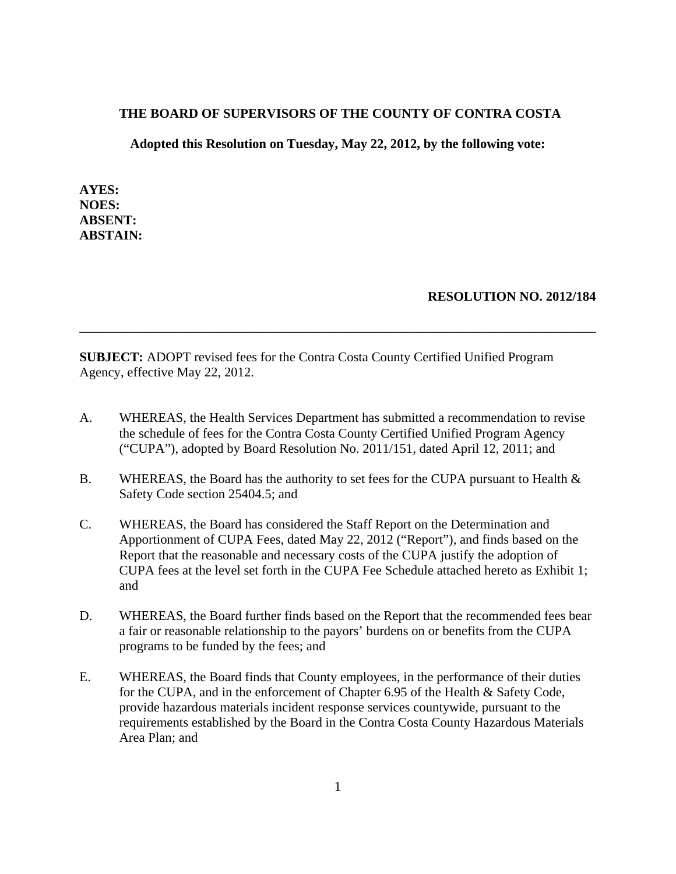#### **THE BOARD OF SUPERVISORS OF THE COUNTY OF CONTRA COSTA**

**Adopted this Resolution on Tuesday, May 22, 2012, by the following vote:**

**AYES: NOES: ABSENT: ABSTAIN:**

### **RESOLUTION NO. 2012/184**

**SUBJECT:** ADOPT revised fees for the Contra Costa County Certified Unified Program Agency, effective May 22, 2012.

A. WHEREAS, the Health Services Department has submitted a recommendation to revise the schedule of fees for the Contra Costa County Certified Unified Program Agency ("CUPA"), adopted by Board Resolution No. 2011/151, dated April 12, 2011; and

\_\_\_\_\_\_\_\_\_\_\_\_\_\_\_\_\_\_\_\_\_\_\_\_\_\_\_\_\_\_\_\_\_\_\_\_\_\_\_\_\_\_\_\_\_\_\_\_\_\_\_\_\_\_\_\_\_\_\_\_\_\_\_\_\_\_\_\_\_\_\_\_\_\_\_\_\_\_

- B. WHEREAS, the Board has the authority to set fees for the CUPA pursuant to Health & Safety Code section 25404.5; and
- C. WHEREAS, the Board has considered the Staff Report on the Determination and Apportionment of CUPA Fees, dated May 22, 2012 ("Report"), and finds based on the Report that the reasonable and necessary costs of the CUPA justify the adoption of CUPA fees at the level set forth in the CUPA Fee Schedule attached hereto as Exhibit 1; and
- D. WHEREAS, the Board further finds based on the Report that the recommended fees bear a fair or reasonable relationship to the payors' burdens on or benefits from the CUPA programs to be funded by the fees; and
- E. WHEREAS, the Board finds that County employees, in the performance of their duties for the CUPA, and in the enforcement of Chapter 6.95 of the Health & Safety Code, provide hazardous materials incident response services countywide, pursuant to the requirements established by the Board in the Contra Costa County Hazardous Materials Area Plan; and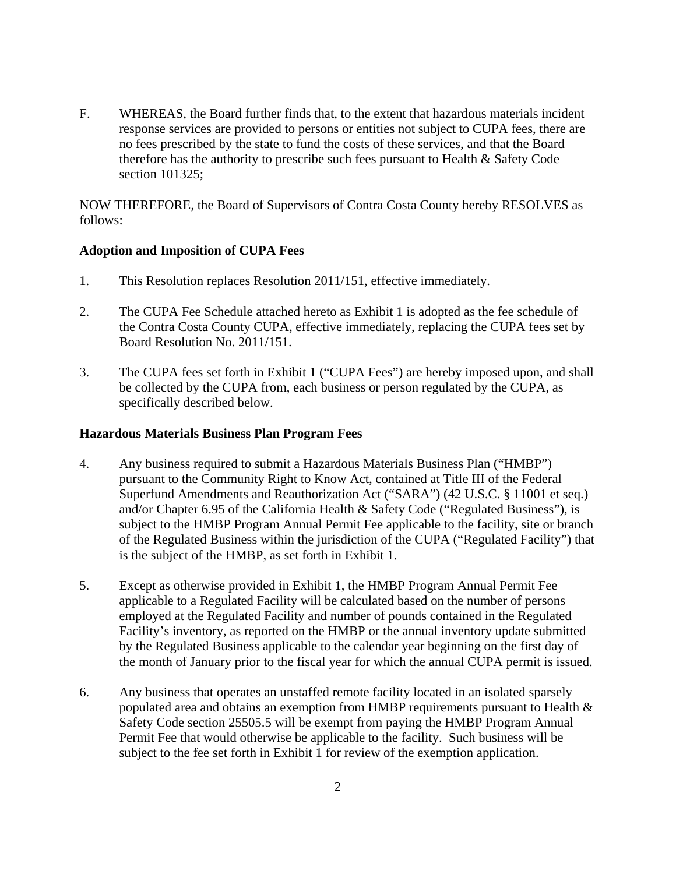F. WHEREAS, the Board further finds that, to the extent that hazardous materials incident response services are provided to persons or entities not subject to CUPA fees, there are no fees prescribed by the state to fund the costs of these services, and that the Board therefore has the authority to prescribe such fees pursuant to Health & Safety Code section 101325;

NOW THEREFORE, the Board of Supervisors of Contra Costa County hereby RESOLVES as follows:

### **Adoption and Imposition of CUPA Fees**

- 1. This Resolution replaces Resolution 2011/151, effective immediately.
- 2. The CUPA Fee Schedule attached hereto as Exhibit 1 is adopted as the fee schedule of the Contra Costa County CUPA, effective immediately, replacing the CUPA fees set by Board Resolution No. 2011/151.
- 3. The CUPA fees set forth in Exhibit 1 ("CUPA Fees") are hereby imposed upon, and shall be collected by the CUPA from, each business or person regulated by the CUPA, as specifically described below.

### **Hazardous Materials Business Plan Program Fees**

- 4. Any business required to submit a Hazardous Materials Business Plan ("HMBP") pursuant to the Community Right to Know Act, contained at Title III of the Federal Superfund Amendments and Reauthorization Act ("SARA") (42 U.S.C. § 11001 et seq.) and/or Chapter 6.95 of the California Health & Safety Code ("Regulated Business"), is subject to the HMBP Program Annual Permit Fee applicable to the facility, site or branch of the Regulated Business within the jurisdiction of the CUPA ("Regulated Facility") that is the subject of the HMBP, as set forth in Exhibit 1.
- 5. Except as otherwise provided in Exhibit 1, the HMBP Program Annual Permit Fee applicable to a Regulated Facility will be calculated based on the number of persons employed at the Regulated Facility and number of pounds contained in the Regulated Facility's inventory, as reported on the HMBP or the annual inventory update submitted by the Regulated Business applicable to the calendar year beginning on the first day of the month of January prior to the fiscal year for which the annual CUPA permit is issued.
- 6. Any business that operates an unstaffed remote facility located in an isolated sparsely populated area and obtains an exemption from HMBP requirements pursuant to Health & Safety Code section 25505.5 will be exempt from paying the HMBP Program Annual Permit Fee that would otherwise be applicable to the facility. Such business will be subject to the fee set forth in Exhibit 1 for review of the exemption application.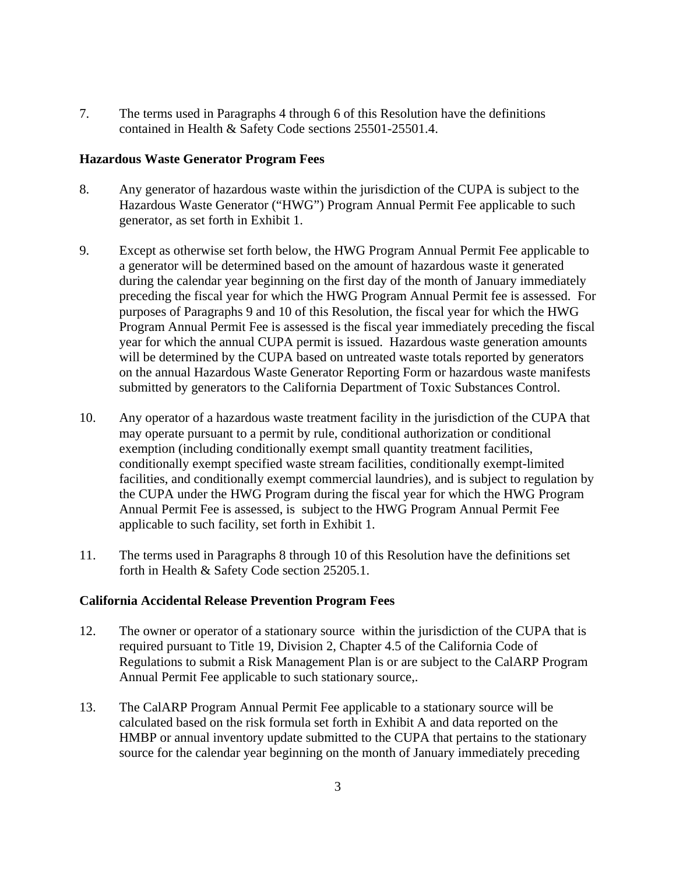7. The terms used in Paragraphs 4 through 6 of this Resolution have the definitions contained in Health & Safety Code sections 25501-25501.4.

### **Hazardous Waste Generator Program Fees**

- 8. Any generator of hazardous waste within the jurisdiction of the CUPA is subject to the Hazardous Waste Generator ("HWG") Program Annual Permit Fee applicable to such generator, as set forth in Exhibit 1.
- 9. Except as otherwise set forth below, the HWG Program Annual Permit Fee applicable to a generator will be determined based on the amount of hazardous waste it generated during the calendar year beginning on the first day of the month of January immediately preceding the fiscal year for which the HWG Program Annual Permit fee is assessed. For purposes of Paragraphs 9 and 10 of this Resolution, the fiscal year for which the HWG Program Annual Permit Fee is assessed is the fiscal year immediately preceding the fiscal year for which the annual CUPA permit is issued. Hazardous waste generation amounts will be determined by the CUPA based on untreated waste totals reported by generators on the annual Hazardous Waste Generator Reporting Form or hazardous waste manifests submitted by generators to the California Department of Toxic Substances Control.
- 10. Any operator of a hazardous waste treatment facility in the jurisdiction of the CUPA that may operate pursuant to a permit by rule, conditional authorization or conditional exemption (including conditionally exempt small quantity treatment facilities, conditionally exempt specified waste stream facilities, conditionally exempt-limited facilities, and conditionally exempt commercial laundries), and is subject to regulation by the CUPA under the HWG Program during the fiscal year for which the HWG Program Annual Permit Fee is assessed, is subject to the HWG Program Annual Permit Fee applicable to such facility, set forth in Exhibit 1.
- 11. The terms used in Paragraphs 8 through 10 of this Resolution have the definitions set forth in Health & Safety Code section 25205.1.

### **California Accidental Release Prevention Program Fees**

- 12. The owner or operator of a stationary source within the jurisdiction of the CUPA that is required pursuant to Title 19, Division 2, Chapter 4.5 of the California Code of Regulations to submit a Risk Management Plan is or are subject to the CalARP Program Annual Permit Fee applicable to such stationary source,.
- 13. The CalARP Program Annual Permit Fee applicable to a stationary source will be calculated based on the risk formula set forth in Exhibit A and data reported on the HMBP or annual inventory update submitted to the CUPA that pertains to the stationary source for the calendar year beginning on the month of January immediately preceding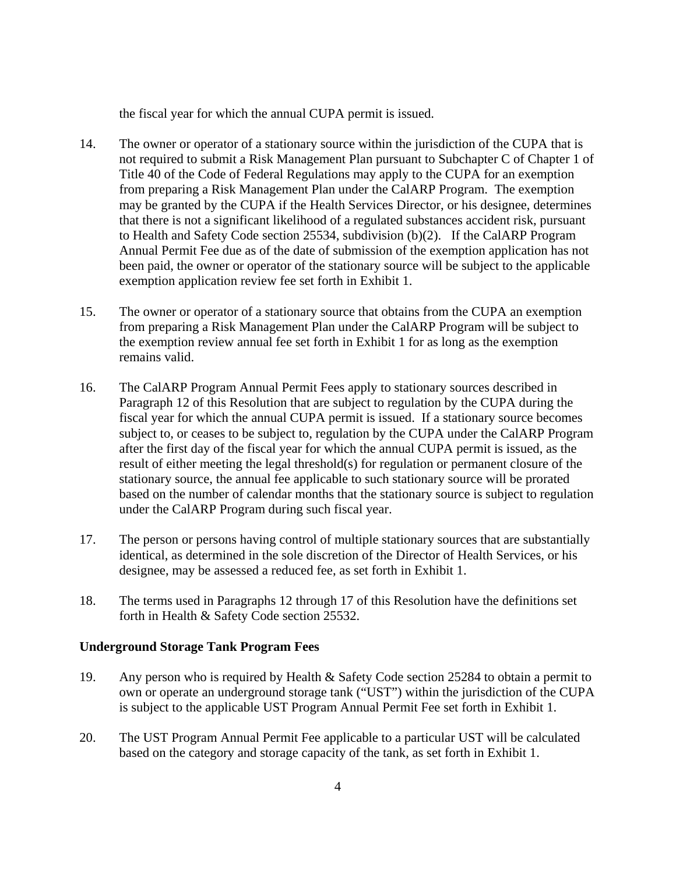the fiscal year for which the annual CUPA permit is issued.

- 14. The owner or operator of a stationary source within the jurisdiction of the CUPA that is not required to submit a Risk Management Plan pursuant to Subchapter C of Chapter 1 of Title 40 of the Code of Federal Regulations may apply to the CUPA for an exemption from preparing a Risk Management Plan under the CalARP Program. The exemption may be granted by the CUPA if the Health Services Director, or his designee, determines that there is not a significant likelihood of a regulated substances accident risk, pursuant to Health and Safety Code section 25534, subdivision (b)(2). If the CalARP Program Annual Permit Fee due as of the date of submission of the exemption application has not been paid, the owner or operator of the stationary source will be subject to the applicable exemption application review fee set forth in Exhibit 1.
- 15. The owner or operator of a stationary source that obtains from the CUPA an exemption from preparing a Risk Management Plan under the CalARP Program will be subject to the exemption review annual fee set forth in Exhibit 1 for as long as the exemption remains valid.
- 16. The CalARP Program Annual Permit Fees apply to stationary sources described in Paragraph 12 of this Resolution that are subject to regulation by the CUPA during the fiscal year for which the annual CUPA permit is issued. If a stationary source becomes subject to, or ceases to be subject to, regulation by the CUPA under the CalARP Program after the first day of the fiscal year for which the annual CUPA permit is issued, as the result of either meeting the legal threshold(s) for regulation or permanent closure of the stationary source, the annual fee applicable to such stationary source will be prorated based on the number of calendar months that the stationary source is subject to regulation under the CalARP Program during such fiscal year.
- 17. The person or persons having control of multiple stationary sources that are substantially identical, as determined in the sole discretion of the Director of Health Services, or his designee, may be assessed a reduced fee, as set forth in Exhibit 1.
- 18. The terms used in Paragraphs 12 through 17 of this Resolution have the definitions set forth in Health & Safety Code section 25532.

### **Underground Storage Tank Program Fees**

- 19. Any person who is required by Health & Safety Code section 25284 to obtain a permit to own or operate an underground storage tank ("UST") within the jurisdiction of the CUPA is subject to the applicable UST Program Annual Permit Fee set forth in Exhibit 1.
- 20. The UST Program Annual Permit Fee applicable to a particular UST will be calculated based on the category and storage capacity of the tank, as set forth in Exhibit 1.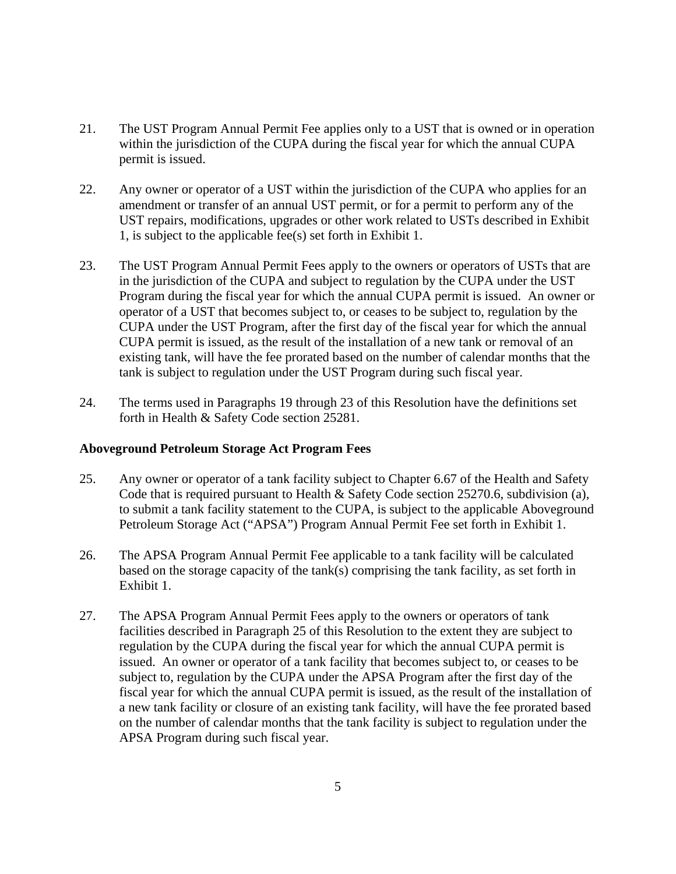- 21. The UST Program Annual Permit Fee applies only to a UST that is owned or in operation within the jurisdiction of the CUPA during the fiscal year for which the annual CUPA permit is issued.
- 22. Any owner or operator of a UST within the jurisdiction of the CUPA who applies for an amendment or transfer of an annual UST permit, or for a permit to perform any of the UST repairs, modifications, upgrades or other work related to USTs described in Exhibit 1, is subject to the applicable fee(s) set forth in Exhibit 1.
- 23. The UST Program Annual Permit Fees apply to the owners or operators of USTs that are in the jurisdiction of the CUPA and subject to regulation by the CUPA under the UST Program during the fiscal year for which the annual CUPA permit is issued. An owner or operator of a UST that becomes subject to, or ceases to be subject to, regulation by the CUPA under the UST Program, after the first day of the fiscal year for which the annual CUPA permit is issued, as the result of the installation of a new tank or removal of an existing tank, will have the fee prorated based on the number of calendar months that the tank is subject to regulation under the UST Program during such fiscal year.
- 24. The terms used in Paragraphs 19 through 23 of this Resolution have the definitions set forth in Health & Safety Code section 25281.

#### **Aboveground Petroleum Storage Act Program Fees**

- 25. Any owner or operator of a tank facility subject to Chapter 6.67 of the Health and Safety Code that is required pursuant to Health & Safety Code section 25270.6, subdivision (a), to submit a tank facility statement to the CUPA, is subject to the applicable Aboveground Petroleum Storage Act ("APSA") Program Annual Permit Fee set forth in Exhibit 1.
- 26. The APSA Program Annual Permit Fee applicable to a tank facility will be calculated based on the storage capacity of the tank(s) comprising the tank facility, as set forth in Exhibit 1.
- 27. The APSA Program Annual Permit Fees apply to the owners or operators of tank facilities described in Paragraph 25 of this Resolution to the extent they are subject to regulation by the CUPA during the fiscal year for which the annual CUPA permit is issued. An owner or operator of a tank facility that becomes subject to, or ceases to be subject to, regulation by the CUPA under the APSA Program after the first day of the fiscal year for which the annual CUPA permit is issued, as the result of the installation of a new tank facility or closure of an existing tank facility, will have the fee prorated based on the number of calendar months that the tank facility is subject to regulation under the APSA Program during such fiscal year.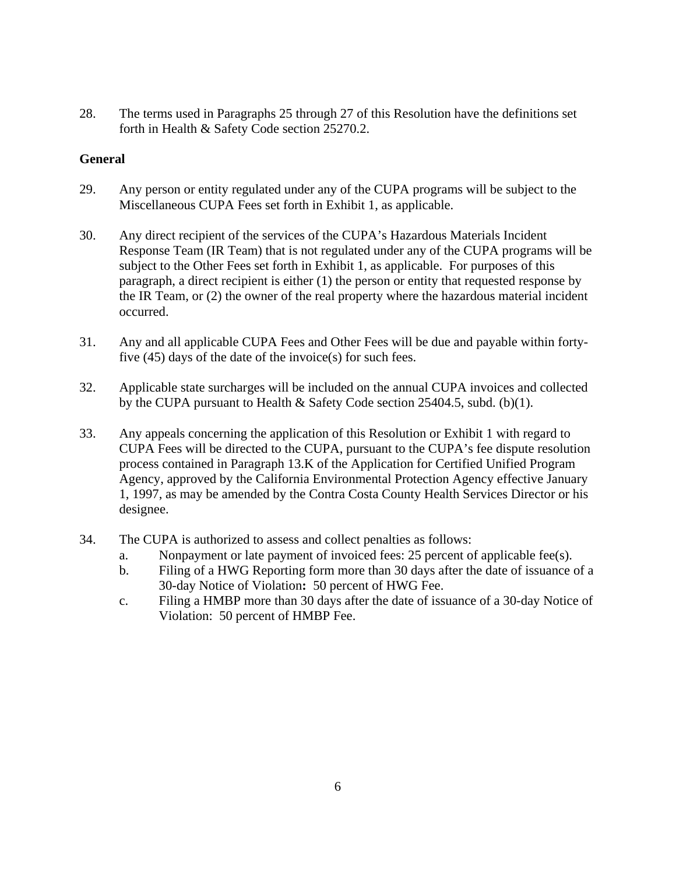28. The terms used in Paragraphs 25 through 27 of this Resolution have the definitions set forth in Health & Safety Code section 25270.2.

### **General**

- 29. Any person or entity regulated under any of the CUPA programs will be subject to the Miscellaneous CUPA Fees set forth in Exhibit 1, as applicable.
- 30. Any direct recipient of the services of the CUPA's Hazardous Materials Incident Response Team (IR Team) that is not regulated under any of the CUPA programs will be subject to the Other Fees set forth in Exhibit 1, as applicable. For purposes of this paragraph, a direct recipient is either (1) the person or entity that requested response by the IR Team, or (2) the owner of the real property where the hazardous material incident occurred.
- 31. Any and all applicable CUPA Fees and Other Fees will be due and payable within fortyfive (45) days of the date of the invoice(s) for such fees.
- 32. Applicable state surcharges will be included on the annual CUPA invoices and collected by the CUPA pursuant to Health & Safety Code section 25404.5, subd. (b)(1).
- 33. Any appeals concerning the application of this Resolution or Exhibit 1 with regard to CUPA Fees will be directed to the CUPA, pursuant to the CUPA's fee dispute resolution process contained in Paragraph 13.K of the Application for Certified Unified Program Agency, approved by the California Environmental Protection Agency effective January 1, 1997, as may be amended by the Contra Costa County Health Services Director or his designee.
- 34. The CUPA is authorized to assess and collect penalties as follows:
	- a. Nonpayment or late payment of invoiced fees: 25 percent of applicable fee(s).
	- b. Filing of a HWG Reporting form more than 30 days after the date of issuance of a 30-day Notice of Violation**:** 50 percent of HWG Fee.
	- c. Filing a HMBP more than 30 days after the date of issuance of a 30-day Notice of Violation: 50 percent of HMBP Fee.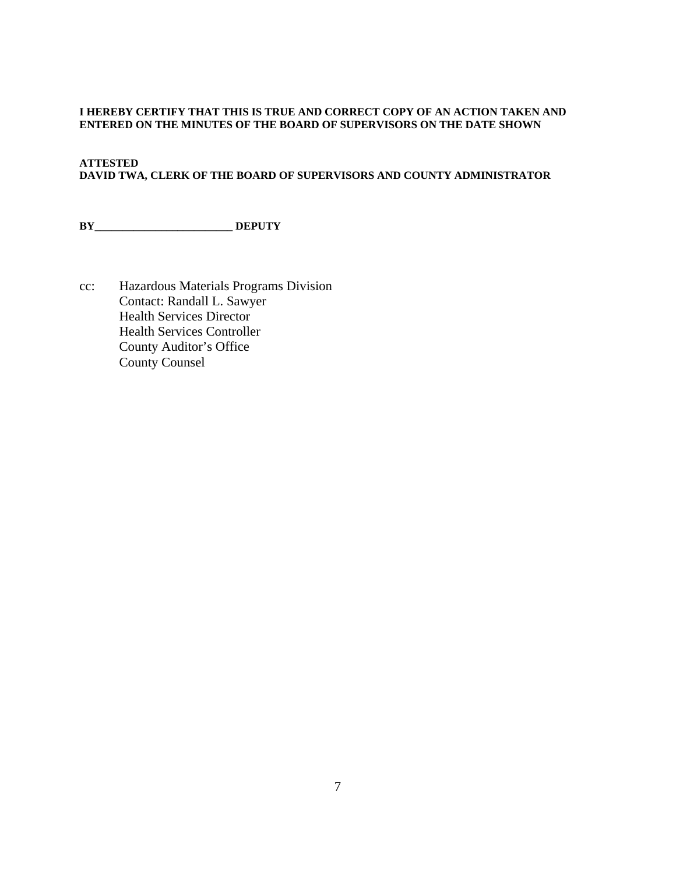#### **I HEREBY CERTIFY THAT THIS IS TRUE AND CORRECT COPY OF AN ACTION TAKEN AND ENTERED ON THE MINUTES OF THE BOARD OF SUPERVISORS ON THE DATE SHOWN**

### **ATTESTED DAVID TWA, CLERK OF THE BOARD OF SUPERVISORS AND COUNTY ADMINISTRATOR**

**BY\_\_\_\_\_\_\_\_\_\_\_\_\_\_\_\_\_\_\_\_\_\_\_\_\_ DEPUTY**

cc: Hazardous Materials Programs Division Contact: Randall L. Sawyer Health Services Director Health Services Controller County Auditor's Office County Counsel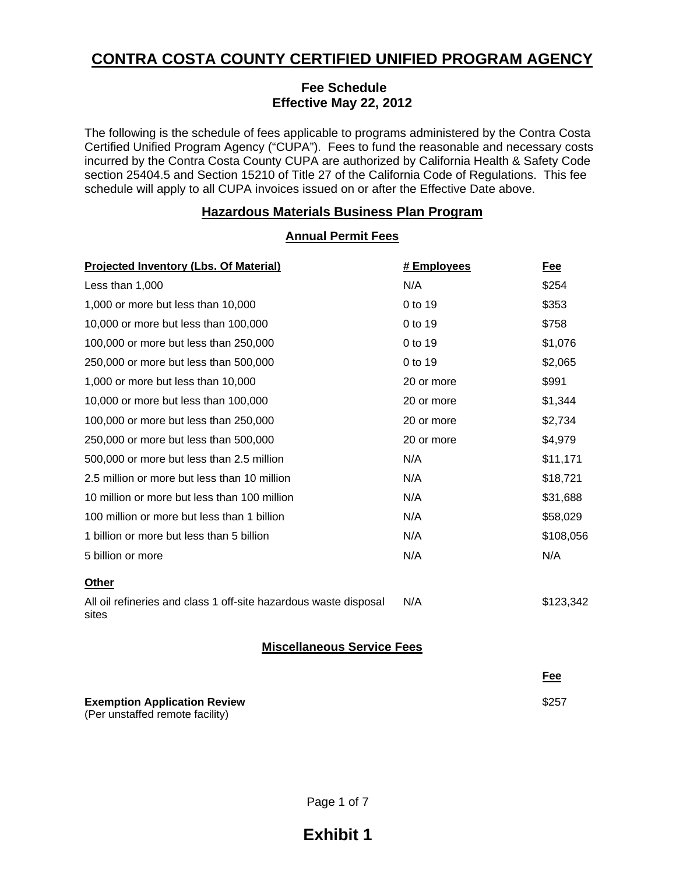# **CONTRA COSTA COUNTY CERTIFIED UNIFIED PROGRAM AGENCY**

### **Fee Schedule Effective May 22, 2012**

The following is the schedule of fees applicable to programs administered by the Contra Costa Certified Unified Program Agency ("CUPA"). Fees to fund the reasonable and necessary costs incurred by the Contra Costa County CUPA are authorized by California Health & Safety Code section 25404.5 and Section 15210 of Title 27 of the California Code of Regulations. This fee schedule will apply to all CUPA invoices issued on or after the Effective Date above.

## **Hazardous Materials Business Plan Program**

**Annual Permit Fees**

| <b>Projected Inventory (Lbs. Of Material)</b>                             | # Employees | Fee       |
|---------------------------------------------------------------------------|-------------|-----------|
| Less than 1,000                                                           | N/A         | \$254     |
| 1,000 or more but less than 10,000                                        | 0 to 19     | \$353     |
| 10,000 or more but less than 100,000                                      | 0 to 19     | \$758     |
| 100,000 or more but less than 250,000                                     | 0 to 19     | \$1,076   |
| 250,000 or more but less than 500,000                                     | 0 to 19     | \$2,065   |
| 1,000 or more but less than 10,000                                        | 20 or more  | \$991     |
| 10,000 or more but less than 100,000                                      | 20 or more  | \$1,344   |
| 100,000 or more but less than 250,000                                     | 20 or more  | \$2,734   |
| 250,000 or more but less than 500,000                                     | 20 or more  | \$4,979   |
| 500,000 or more but less than 2.5 million                                 | N/A         | \$11,171  |
| 2.5 million or more but less than 10 million                              | N/A         | \$18,721  |
| 10 million or more but less than 100 million                              | N/A         | \$31,688  |
| 100 million or more but less than 1 billion                               | N/A         | \$58,029  |
| 1 billion or more but less than 5 billion                                 | N/A         | \$108,056 |
| 5 billion or more                                                         | N/A         | N/A       |
| Other                                                                     |             |           |
| All oil refineries and class 1 off-site hazardous waste disposal<br>sites | N/A         | \$123,342 |
| <b>Miscellaneous Service Fees</b>                                         |             |           |

### **Fee Fee Exemption Application Review**  (Per unstaffed remote facility) \$257

Page 1 of 7

# **Exhibit 1**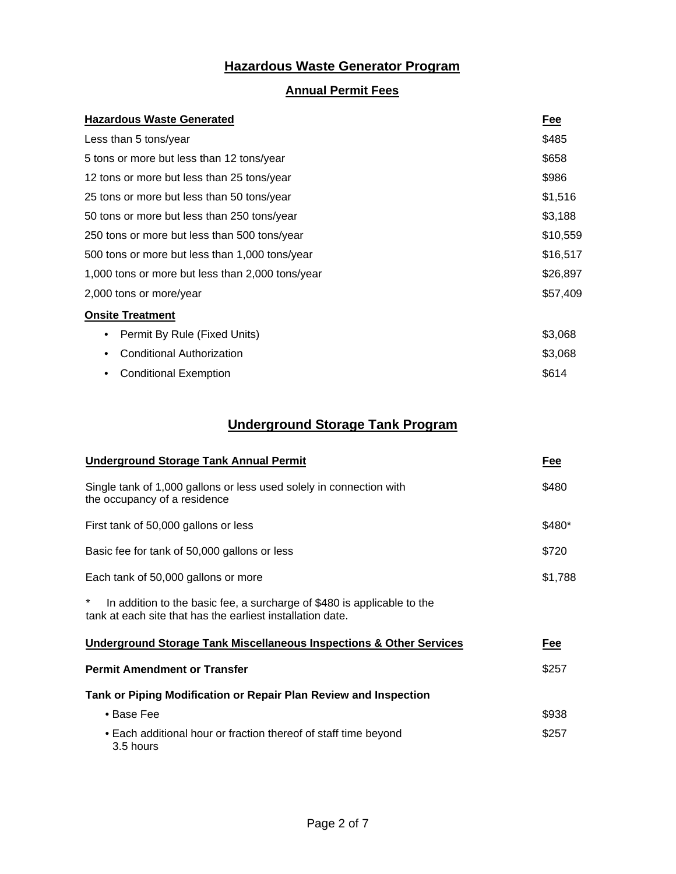# **Hazardous Waste Generator Program**

# **Annual Permit Fees**

| <b>Hazardous Waste Generated</b>                 | Fee      |  |
|--------------------------------------------------|----------|--|
| Less than 5 tons/year                            | \$485    |  |
| 5 tons or more but less than 12 tons/year        | \$658    |  |
| 12 tons or more but less than 25 tons/year       | \$986    |  |
| 25 tons or more but less than 50 tons/year       | \$1,516  |  |
| 50 tons or more but less than 250 tons/year      | \$3,188  |  |
| 250 tons or more but less than 500 tons/year     | \$10,559 |  |
| 500 tons or more but less than 1,000 tons/year   | \$16,517 |  |
| 1,000 tons or more but less than 2,000 tons/year | \$26,897 |  |
| 2,000 tons or more/year                          |          |  |
| <b>Onsite Treatment</b>                          |          |  |
| Permit By Rule (Fixed Units)<br>٠                | \$3,068  |  |
| <b>Conditional Authorization</b><br>٠            | \$3,068  |  |
| <b>Conditional Exemption</b><br>٠                | \$614    |  |

# **Underground Storage Tank Program**

| <b>Underground Storage Tank Annual Permit</b>                                                                                              | Fee     |
|--------------------------------------------------------------------------------------------------------------------------------------------|---------|
| Single tank of 1,000 gallons or less used solely in connection with<br>the occupancy of a residence                                        | \$480   |
| First tank of 50,000 gallons or less                                                                                                       | \$480*  |
| Basic fee for tank of 50,000 gallons or less                                                                                               | \$720   |
| Each tank of 50,000 gallons or more                                                                                                        | \$1,788 |
| ×<br>In addition to the basic fee, a surcharge of \$480 is applicable to the<br>tank at each site that has the earliest installation date. |         |
| <b>Underground Storage Tank Miscellaneous Inspections &amp; Other Services</b>                                                             | Fee     |
| <b>Permit Amendment or Transfer</b>                                                                                                        | \$257   |
| Tank or Piping Modification or Repair Plan Review and Inspection                                                                           |         |
| • Base Fee                                                                                                                                 | \$938   |
| • Each additional hour or fraction thereof of staff time beyond<br>3.5 hours                                                               | \$257   |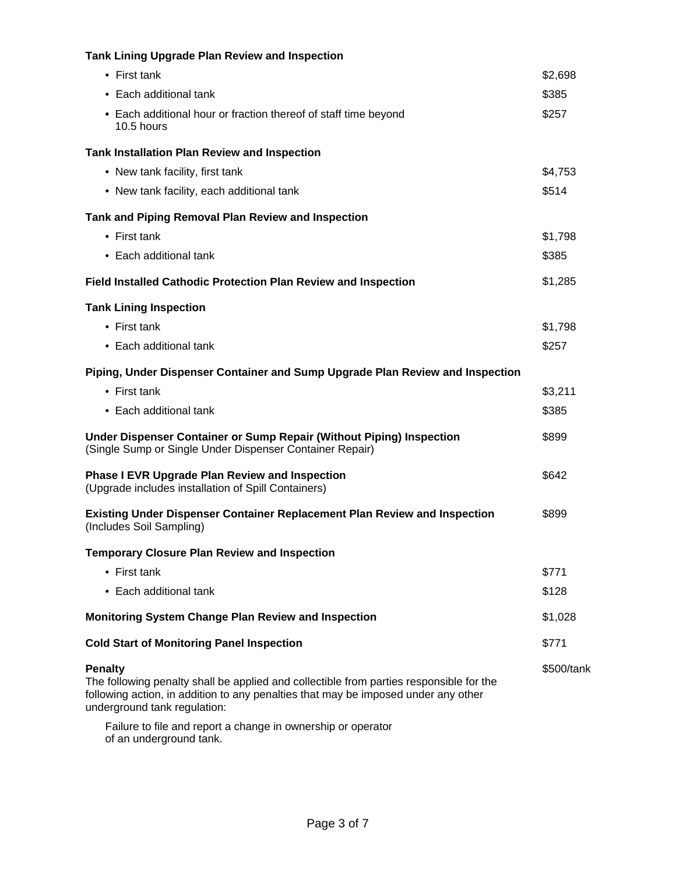| <b>Tank Lining Upgrade Plan Review and Inspection</b>                                                                                                                                                                    |            |
|--------------------------------------------------------------------------------------------------------------------------------------------------------------------------------------------------------------------------|------------|
| • First tank                                                                                                                                                                                                             | \$2,698    |
| • Each additional tank                                                                                                                                                                                                   | \$385      |
| • Each additional hour or fraction thereof of staff time beyond<br>10.5 hours                                                                                                                                            | \$257      |
| <b>Tank Installation Plan Review and Inspection</b>                                                                                                                                                                      |            |
| • New tank facility, first tank                                                                                                                                                                                          | \$4,753    |
| • New tank facility, each additional tank                                                                                                                                                                                | \$514      |
| Tank and Piping Removal Plan Review and Inspection                                                                                                                                                                       |            |
| $\bullet$ First tank                                                                                                                                                                                                     | \$1,798    |
| • Each additional tank                                                                                                                                                                                                   | \$385      |
| <b>Field Installed Cathodic Protection Plan Review and Inspection</b>                                                                                                                                                    | \$1,285    |
| <b>Tank Lining Inspection</b>                                                                                                                                                                                            |            |
| • First tank                                                                                                                                                                                                             | \$1,798    |
| • Each additional tank                                                                                                                                                                                                   | \$257      |
| Piping, Under Dispenser Container and Sump Upgrade Plan Review and Inspection                                                                                                                                            |            |
| • First tank                                                                                                                                                                                                             | \$3,211    |
| • Each additional tank                                                                                                                                                                                                   | \$385      |
| Under Dispenser Container or Sump Repair (Without Piping) Inspection<br>(Single Sump or Single Under Dispenser Container Repair)                                                                                         | \$899      |
| <b>Phase I EVR Upgrade Plan Review and Inspection</b><br>(Upgrade includes installation of Spill Containers)                                                                                                             | \$642      |
| <b>Existing Under Dispenser Container Replacement Plan Review and Inspection</b><br>(Includes Soil Sampling)                                                                                                             | \$899      |
| <b>Temporary Closure Plan Review and Inspection</b>                                                                                                                                                                      |            |
| • First tank                                                                                                                                                                                                             | \$771      |
| • Each additional tank                                                                                                                                                                                                   | \$128      |
| <b>Monitoring System Change Plan Review and Inspection</b>                                                                                                                                                               | \$1,028    |
| <b>Cold Start of Monitoring Panel Inspection</b>                                                                                                                                                                         | \$771      |
| Penalty<br>The following penalty shall be applied and collectible from parties responsible for the<br>following action, in addition to any penalties that may be imposed under any other<br>underground tank regulation: | \$500/tank |
| Failure to file and report a change in ownership or operator<br>of an underground tank.                                                                                                                                  |            |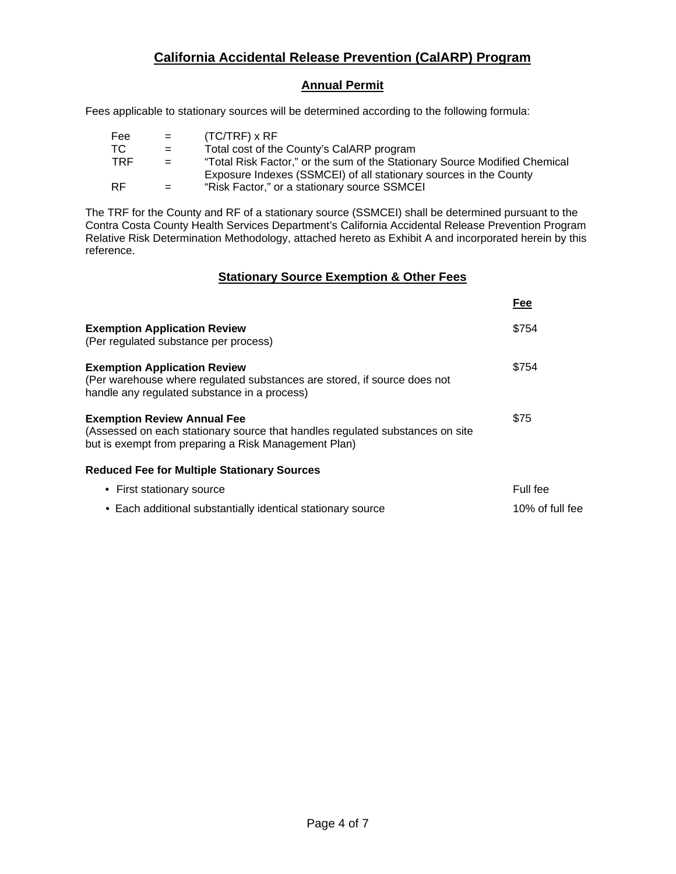# **California Accidental Release Prevention (CalARP) Program**

# **Annual Permit**

Fees applicable to stationary sources will be determined according to the following formula:

| Fee       | $=$ | $(TC/TRF)$ x RF                                                            |
|-----------|-----|----------------------------------------------------------------------------|
| TC.       | $=$ | Total cost of the County's CalARP program                                  |
| TRF       | $=$ | "Total Risk Factor," or the sum of the Stationary Source Modified Chemical |
|           |     | Exposure Indexes (SSMCEI) of all stationary sources in the County          |
| <b>RF</b> | $=$ | "Risk Factor," or a stationary source SSMCEI                               |

The TRF for the County and RF of a stationary source (SSMCEI) shall be determined pursuant to the Contra Costa County Health Services Department's California Accidental Release Prevention Program Relative Risk Determination Methodology, attached hereto as Exhibit A and incorporated herein by this reference.

### **Stationary Source Exemption & Other Fees**

|                                                                                                                                                                             | Fee             |
|-----------------------------------------------------------------------------------------------------------------------------------------------------------------------------|-----------------|
| <b>Exemption Application Review</b><br>(Per regulated substance per process)                                                                                                | \$754           |
| <b>Exemption Application Review</b><br>(Per warehouse where regulated substances are stored, if source does not<br>handle any regulated substance in a process)             | \$754           |
| <b>Exemption Review Annual Fee</b><br>(Assessed on each stationary source that handles regulated substances on site<br>but is exempt from preparing a Risk Management Plan) | \$75            |
| <b>Reduced Fee for Multiple Stationary Sources</b>                                                                                                                          |                 |
| • First stationary source                                                                                                                                                   | Full fee        |
| • Each additional substantially identical stationary source                                                                                                                 | 10% of full fee |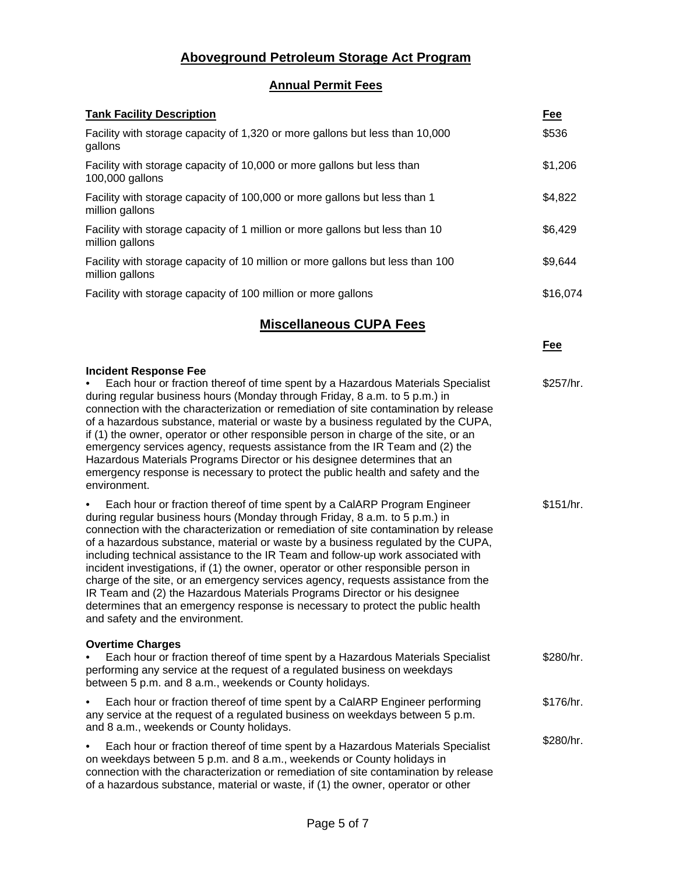# **Aboveground Petroleum Storage Act Program**

# **Annual Permit Fees**

| <b>Tank Facility Description</b>                                                                                                                                                                                                                                                                                                                                                                                                                                                                                                                                                                                                                                                                                                                                                                     | <u>Fee</u> |
|------------------------------------------------------------------------------------------------------------------------------------------------------------------------------------------------------------------------------------------------------------------------------------------------------------------------------------------------------------------------------------------------------------------------------------------------------------------------------------------------------------------------------------------------------------------------------------------------------------------------------------------------------------------------------------------------------------------------------------------------------------------------------------------------------|------------|
| Facility with storage capacity of 1,320 or more gallons but less than 10,000<br>gallons                                                                                                                                                                                                                                                                                                                                                                                                                                                                                                                                                                                                                                                                                                              | \$536      |
| Facility with storage capacity of 10,000 or more gallons but less than<br>100,000 gallons                                                                                                                                                                                                                                                                                                                                                                                                                                                                                                                                                                                                                                                                                                            | \$1,206    |
| Facility with storage capacity of 100,000 or more gallons but less than 1<br>million gallons                                                                                                                                                                                                                                                                                                                                                                                                                                                                                                                                                                                                                                                                                                         | \$4,822    |
| Facility with storage capacity of 1 million or more gallons but less than 10<br>million gallons                                                                                                                                                                                                                                                                                                                                                                                                                                                                                                                                                                                                                                                                                                      | \$6,429    |
| Facility with storage capacity of 10 million or more gallons but less than 100<br>million gallons                                                                                                                                                                                                                                                                                                                                                                                                                                                                                                                                                                                                                                                                                                    | \$9,644    |
| Facility with storage capacity of 100 million or more gallons                                                                                                                                                                                                                                                                                                                                                                                                                                                                                                                                                                                                                                                                                                                                        | \$16,074   |
| <b>Miscellaneous CUPA Fees</b>                                                                                                                                                                                                                                                                                                                                                                                                                                                                                                                                                                                                                                                                                                                                                                       |            |
|                                                                                                                                                                                                                                                                                                                                                                                                                                                                                                                                                                                                                                                                                                                                                                                                      | Fee        |
| <b>Incident Response Fee</b><br>Each hour or fraction thereof of time spent by a Hazardous Materials Specialist<br>during regular business hours (Monday through Friday, 8 a.m. to 5 p.m.) in<br>connection with the characterization or remediation of site contamination by release<br>of a hazardous substance, material or waste by a business regulated by the CUPA,<br>if (1) the owner, operator or other responsible person in charge of the site, or an<br>emergency services agency, requests assistance from the IR Team and (2) the<br>Hazardous Materials Programs Director or his designee determines that an<br>emergency response is necessary to protect the public health and safety and the<br>environment.                                                                       | \$257/hr.  |
| Each hour or fraction thereof of time spent by a CalARP Program Engineer<br>during regular business hours (Monday through Friday, 8 a.m. to 5 p.m.) in<br>connection with the characterization or remediation of site contamination by release<br>of a hazardous substance, material or waste by a business regulated by the CUPA,<br>including technical assistance to the IR Team and follow-up work associated with<br>incident investigations, if (1) the owner, operator or other responsible person in<br>charge of the site, or an emergency services agency, requests assistance from the<br>IR Team and (2) the Hazardous Materials Programs Director or his designee<br>determines that an emergency response is necessary to protect the public health<br>and safety and the environment. | \$151/hr.  |
| <b>Overtime Charges</b><br>Each hour or fraction thereof of time spent by a Hazardous Materials Specialist<br>performing any service at the request of a regulated business on weekdays<br>between 5 p.m. and 8 a.m., weekends or County holidays.                                                                                                                                                                                                                                                                                                                                                                                                                                                                                                                                                   | \$280/hr.  |
| Each hour or fraction thereof of time spent by a CalARP Engineer performing<br>any service at the request of a regulated business on weekdays between 5 p.m.<br>and 8 a.m., weekends or County holidays.                                                                                                                                                                                                                                                                                                                                                                                                                                                                                                                                                                                             | \$176/hr.  |
| Each hour or fraction thereof of time spent by a Hazardous Materials Specialist<br>on weekdays between 5 p.m. and 8 a.m., weekends or County holidays in<br>connection with the characterization or remediation of site contamination by release<br>of a hazardous substance, material or waste, if (1) the owner, operator or other                                                                                                                                                                                                                                                                                                                                                                                                                                                                 | \$280/hr.  |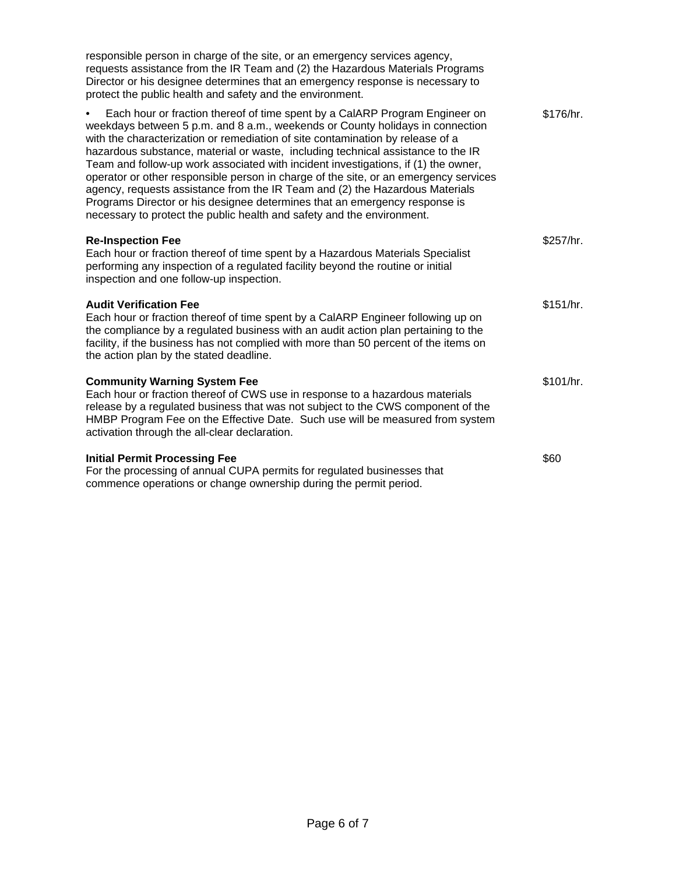| responsible person in charge of the site, or an emergency services agency,<br>requests assistance from the IR Team and (2) the Hazardous Materials Programs<br>Director or his designee determines that an emergency response is necessary to<br>protect the public health and safety and the environment.                                                                                                                                                                                                                                                                                                                                                                                                                                               |           |
|----------------------------------------------------------------------------------------------------------------------------------------------------------------------------------------------------------------------------------------------------------------------------------------------------------------------------------------------------------------------------------------------------------------------------------------------------------------------------------------------------------------------------------------------------------------------------------------------------------------------------------------------------------------------------------------------------------------------------------------------------------|-----------|
| Each hour or fraction thereof of time spent by a CalARP Program Engineer on<br>weekdays between 5 p.m. and 8 a.m., weekends or County holidays in connection<br>with the characterization or remediation of site contamination by release of a<br>hazardous substance, material or waste, including technical assistance to the IR<br>Team and follow-up work associated with incident investigations, if (1) the owner,<br>operator or other responsible person in charge of the site, or an emergency services<br>agency, requests assistance from the IR Team and (2) the Hazardous Materials<br>Programs Director or his designee determines that an emergency response is<br>necessary to protect the public health and safety and the environment. | \$176/hr. |
| <b>Re-Inspection Fee</b><br>Each hour or fraction thereof of time spent by a Hazardous Materials Specialist<br>performing any inspection of a regulated facility beyond the routine or initial<br>inspection and one follow-up inspection.                                                                                                                                                                                                                                                                                                                                                                                                                                                                                                               | \$257/hr. |
| <b>Audit Verification Fee</b><br>Each hour or fraction thereof of time spent by a CalARP Engineer following up on<br>the compliance by a regulated business with an audit action plan pertaining to the<br>facility, if the business has not complied with more than 50 percent of the items on<br>the action plan by the stated deadline.                                                                                                                                                                                                                                                                                                                                                                                                               | \$151/hr. |
| <b>Community Warning System Fee</b><br>Each hour or fraction thereof of CWS use in response to a hazardous materials<br>release by a regulated business that was not subject to the CWS component of the<br>HMBP Program Fee on the Effective Date. Such use will be measured from system<br>activation through the all-clear declaration.                                                                                                                                                                                                                                                                                                                                                                                                               | \$101/hr. |
| <b>Initial Permit Processing Fee</b><br>For the processing of annual CUPA permits for regulated businesses that<br>commence operations or change ownership during the permit period.                                                                                                                                                                                                                                                                                                                                                                                                                                                                                                                                                                     | \$60      |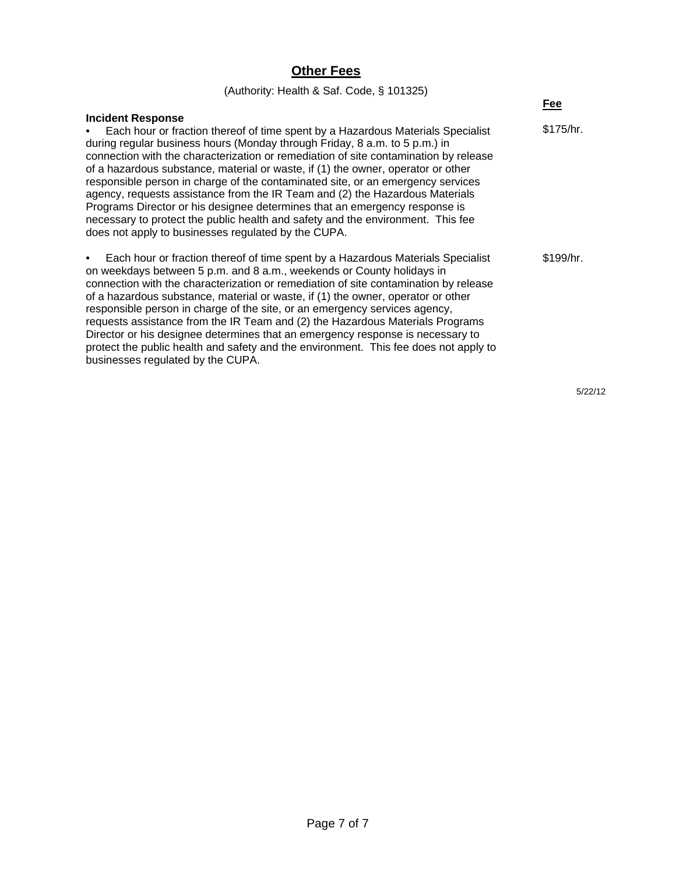# **Other Fees**

| (Authority: Health & Saf. Code, § 101325)                                                                                                                                                                                                                                                                                                                                                                                                                                                                                                                                                                                                                                                                                                                                     |           |
|-------------------------------------------------------------------------------------------------------------------------------------------------------------------------------------------------------------------------------------------------------------------------------------------------------------------------------------------------------------------------------------------------------------------------------------------------------------------------------------------------------------------------------------------------------------------------------------------------------------------------------------------------------------------------------------------------------------------------------------------------------------------------------|-----------|
|                                                                                                                                                                                                                                                                                                                                                                                                                                                                                                                                                                                                                                                                                                                                                                               | Fee       |
| <b>Incident Response</b><br>Each hour or fraction thereof of time spent by a Hazardous Materials Specialist<br>$\bullet$<br>during regular business hours (Monday through Friday, 8 a.m. to 5 p.m.) in<br>connection with the characterization or remediation of site contamination by release<br>of a hazardous substance, material or waste, if (1) the owner, operator or other<br>responsible person in charge of the contaminated site, or an emergency services<br>agency, requests assistance from the IR Team and (2) the Hazardous Materials<br>Programs Director or his designee determines that an emergency response is<br>necessary to protect the public health and safety and the environment. This fee<br>does not apply to businesses regulated by the CUPA. | \$175/hr. |
| Each hour or fraction thereof of time spent by a Hazardous Materials Specialist<br>$\bullet$<br>on weekdays between 5 p.m. and 8 a.m., weekends or County holidays in<br>connection with the characterization or remediation of site contamination by release<br>of a hazardous substance, material or waste, if (1) the owner, operator or other<br>responsible person in charge of the site, or an emergency services agency,<br>requests assistance from the IR Team and (2) the Hazardous Materials Programs<br>Director or his designee determines that an emergency response is necessary to<br>protect the public health and safety and the environment. This fee does not apply to<br>businesses regulated by the CUPA.                                               | \$199/hr. |

5/22/12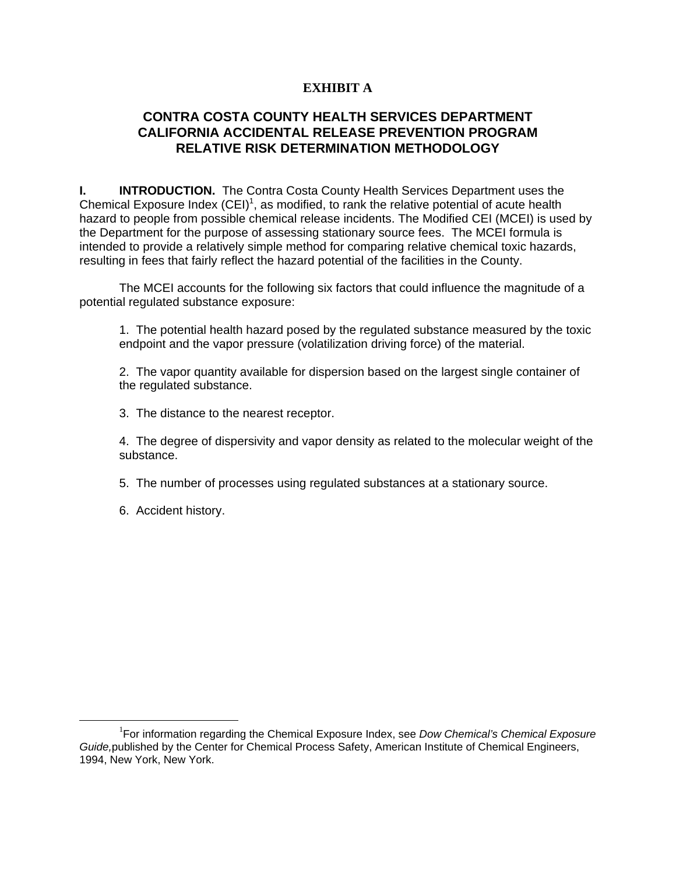# **EXHIBIT A**

# **CONTRA COSTA COUNTY HEALTH SERVICES DEPARTMENT CALIFORNIA ACCIDENTAL RELEASE PREVENTION PROGRAM RELATIVE RISK DETERMINATION METHODOLOGY**

**I. INTRODUCTION.** The Contra Costa County Health Services Department uses the Chemical Exposure Index  $(CEI)^1$ , as modified, to rank the relative potential of acute health hazard to people from possible chemical release incidents. The Modified CEI (MCEI) is used by the Department for the purpose of assessing stationary source fees. The MCEI formula is intended to provide a relatively simple method for comparing relative chemical toxic hazards, resulting in fees that fairly reflect the hazard potential of the facilities in the County.

The MCEI accounts for the following six factors that could influence the magnitude of a potential regulated substance exposure:

1. The potential health hazard posed by the regulated substance measured by the toxic endpoint and the vapor pressure (volatilization driving force) of the material.

2. The vapor quantity available for dispersion based on the largest single container of the regulated substance.

3. The distance to the nearest receptor.

4. The degree of dispersivity and vapor density as related to the molecular weight of the substance.

5. The number of processes using regulated substances at a stationary source.

6. Accident history.

<sup>&</sup>lt;u>1</u> For information regarding the Chemical Exposure Index, see *Dow Chemical's Chemical Exposure Guide,*published by the Center for Chemical Process Safety, American Institute of Chemical Engineers, 1994, New York, New York.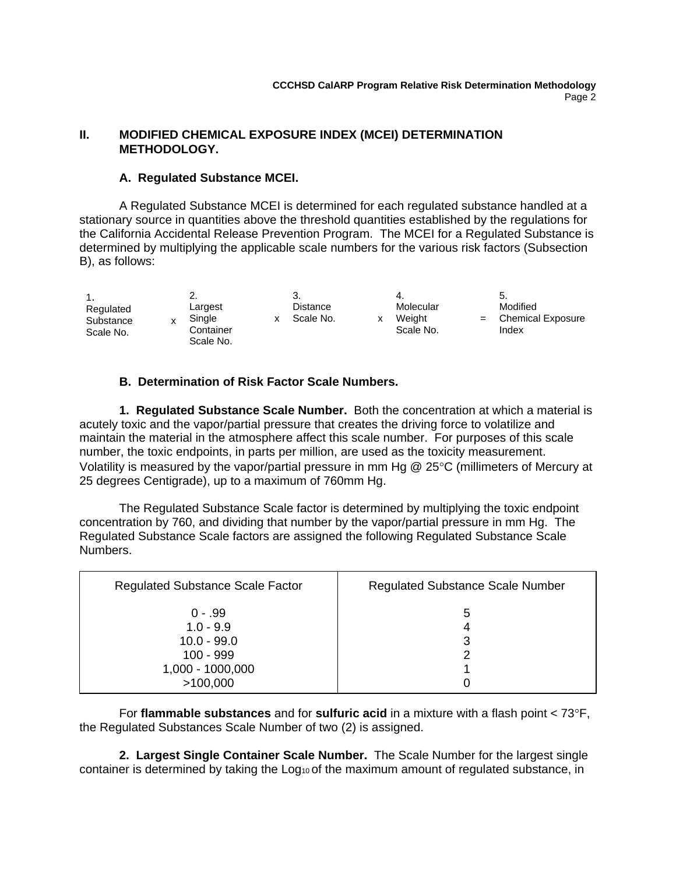### **II. MODIFIED CHEMICAL EXPOSURE INDEX (MCEI) DETERMINATION METHODOLOGY.**

### **A. Regulated Substance MCEI.**

A Regulated Substance MCEI is determined for each regulated substance handled at a stationary source in quantities above the threshold quantities established by the regulations for the California Accidental Release Prevention Program. The MCEI for a Regulated Substance is determined by multiplying the applicable scale numbers for the various risk factors (Subsection B), as follows:

| Regulated<br>Substance<br>Scale No. | <br>Largest<br>Single<br>Container<br>Scale No. | Distance<br>Scale No. | Molecular<br>Weiaht<br>Scale No. | 5.<br>Modified<br><b>Chemical Exposure</b><br>Index |
|-------------------------------------|-------------------------------------------------|-----------------------|----------------------------------|-----------------------------------------------------|
|-------------------------------------|-------------------------------------------------|-----------------------|----------------------------------|-----------------------------------------------------|

## **B. Determination of Risk Factor Scale Numbers.**

**1. Regulated Substance Scale Number.** Both the concentration at which a material is acutely toxic and the vapor/partial pressure that creates the driving force to volatilize and maintain the material in the atmosphere affect this scale number. For purposes of this scale number, the toxic endpoints, in parts per million, are used as the toxicity measurement. Volatility is measured by the vapor/partial pressure in mm Hg  $@$  25°C (millimeters of Mercury at 25 degrees Centigrade), up to a maximum of 760mm Hg.

The Regulated Substance Scale factor is determined by multiplying the toxic endpoint concentration by 760, and dividing that number by the vapor/partial pressure in mm Hg. The Regulated Substance Scale factors are assigned the following Regulated Substance Scale Numbers.

| <b>Regulated Substance Scale Factor</b> | <b>Regulated Substance Scale Number</b> |
|-----------------------------------------|-----------------------------------------|
| $0 - .99$                               | 5                                       |
| $1.0 - 9.9$                             | 4                                       |
| $10.0 - 99.0$                           | 3                                       |
| $100 - 999$                             | 2                                       |
| 1,000 - 1000,000                        |                                         |
| >100,000                                |                                         |

For **flammable substances** and for **sulfuric acid** in a mixture with a flash point < 73F, the Regulated Substances Scale Number of two (2) is assigned.

**2. Largest Single Container Scale Number.** The Scale Number for the largest single container is determined by taking the Log<sub>10</sub> of the maximum amount of regulated substance, in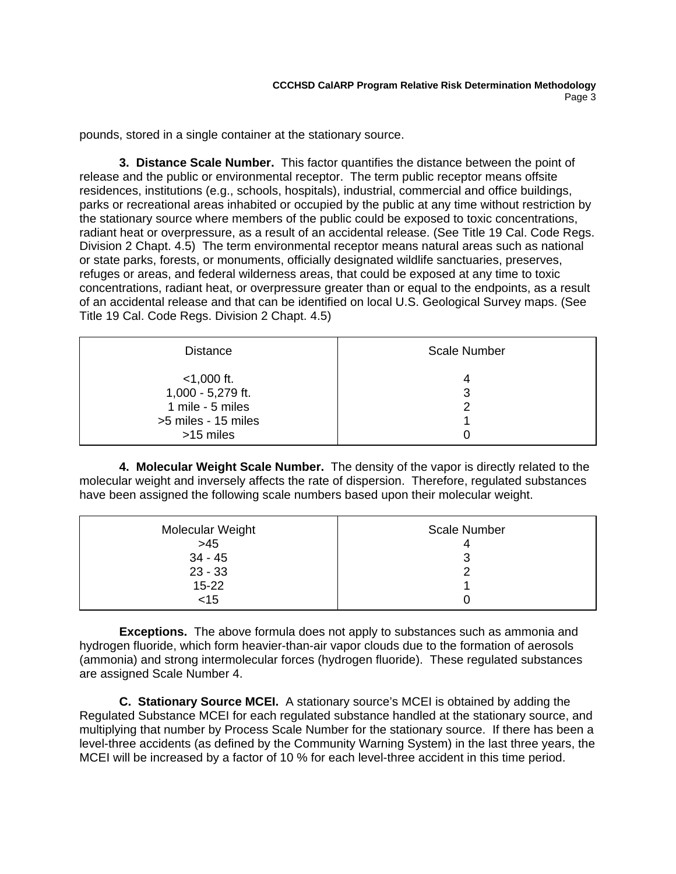pounds, stored in a single container at the stationary source.

**3. Distance Scale Number.** This factor quantifies the distance between the point of release and the public or environmental receptor. The term public receptor means offsite residences, institutions (e.g., schools, hospitals), industrial, commercial and office buildings, parks or recreational areas inhabited or occupied by the public at any time without restriction by the stationary source where members of the public could be exposed to toxic concentrations, radiant heat or overpressure, as a result of an accidental release. (See Title 19 Cal. Code Regs. Division 2 Chapt. 4.5) The term environmental receptor means natural areas such as national or state parks, forests, or monuments, officially designated wildlife sanctuaries, preserves, refuges or areas, and federal wilderness areas, that could be exposed at any time to toxic concentrations, radiant heat, or overpressure greater than or equal to the endpoints, as a result of an accidental release and that can be identified on local U.S. Geological Survey maps. (See Title 19 Cal. Code Regs. Division 2 Chapt. 4.5)

| <b>Distance</b>                                                                            | <b>Scale Number</b> |
|--------------------------------------------------------------------------------------------|---------------------|
| $<$ 1,000 ft.<br>1,000 - 5,279 ft.<br>1 mile - 5 miles<br>>5 miles - 15 miles<br>>15 miles | З                   |

**4. Molecular Weight Scale Number.** The density of the vapor is directly related to the molecular weight and inversely affects the rate of dispersion. Therefore, regulated substances have been assigned the following scale numbers based upon their molecular weight.

| Molecular Weight | <b>Scale Number</b> |
|------------------|---------------------|
| $>45$            |                     |
| $34 - 45$        |                     |
| $23 - 33$        |                     |
| $15 - 22$        |                     |
| $<$ 15           |                     |

**Exceptions.** The above formula does not apply to substances such as ammonia and hydrogen fluoride, which form heavier-than-air vapor clouds due to the formation of aerosols (ammonia) and strong intermolecular forces (hydrogen fluoride). These regulated substances are assigned Scale Number 4.

**C. Stationary Source MCEI.** A stationary source's MCEI is obtained by adding the Regulated Substance MCEI for each regulated substance handled at the stationary source, and multiplying that number by Process Scale Number for the stationary source. If there has been a level-three accidents (as defined by the Community Warning System) in the last three years, the MCEI will be increased by a factor of 10 % for each level-three accident in this time period.